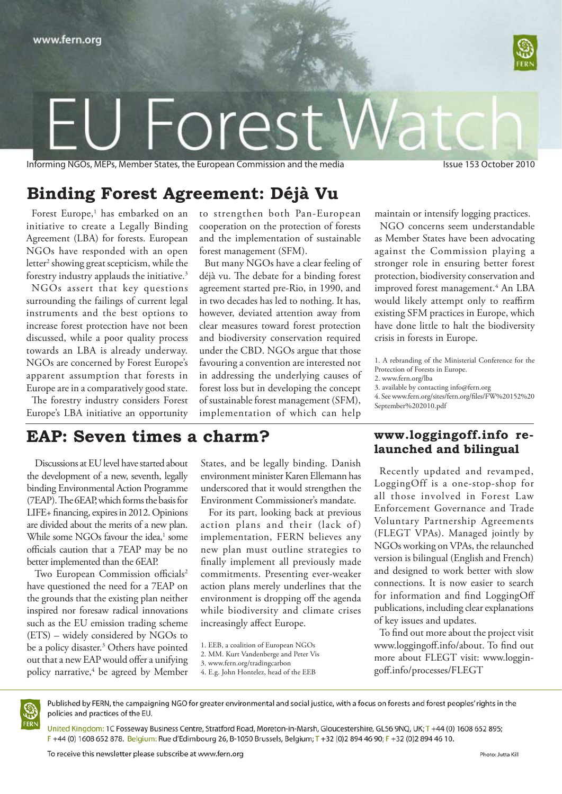

# Orps

Informing NGOs, MEPs, Member States, the European Commission and the media Issue 153 October 2010

# **Binding Forest Agreement: Déjà Vu**

Forest Europe,<sup>1</sup> has embarked on an initiative to create a Legally Binding Agreement (LBA) for forests. European NGOs have responded with an open letter<sup>2</sup> showing great scepticism, while the forestry industry applauds the initiative.3

NGOs assert that key questions surrounding the failings of current legal instruments and the best options to increase forest protection have not been discussed, while a poor quality process towards an LBA is already underway. NGOs are concerned by Forest Europe's apparent assumption that forests in Europe are in a comparatively good state.

The forestry industry considers Forest Europe's LBA initiative an opportunity

## **EAP: Seven times a charm?**

Discussions at EU level have started about the development of a new, seventh, legally binding Environmental Action Programme (7EAP). The 6EAP, which forms the basis for LIFE+ financing, expires in 2012. Opinions are divided about the merits of a new plan. While some NGOs favour the idea,<sup>1</sup> some officials caution that a 7EAP may be no better implemented than the 6EAP.

Two European Commission officials<sup>2</sup> have questioned the need for a 7EAP on the grounds that the existing plan neither inspired nor foresaw radical innovations such as the EU emission trading scheme (ETS) – widely considered by NGOs to be a policy disaster.<sup>3</sup> Others have pointed out that a new EAP would offer a unifying policy narrative,4 be agreed by Member to strengthen both Pan-European cooperation on the protection of forests and the implementation of sustainable forest management (SFM).

But many NGOs have a clear feeling of déjà vu. The debate for a binding forest agreement started pre-Rio, in 1990, and in two decades has led to nothing. It has, however, deviated attention away from clear measures toward forest protection and biodiversity conservation required under the CBD. NGOs argue that those favouring a convention are interested not in addressing the underlying causes of forest loss but in developing the concept of sustainable forest management (SFM), implementation of which can help

maintain or intensify logging practices.

NGO concerns seem understandable as Member States have been advocating against the Commission playing a stronger role in ensuring better forest protection, biodiversity conservation and improved forest management.<sup>4</sup> An LBA would likely attempt only to reaffirm existing SFM practices in Europe, which have done little to halt the biodiversity crisis in forests in Europe.

1. A rebranding of the Ministerial Conference for the Protection of Forests in Europe.

2. www.fern.org/lba

of key issues and updates.

goff.info/processes/FLEGT

4. See www.fern.org/sites/fern.org/files/FW%20152%20 September%202010.pdf

Recently updated and revamped, LoggingOff is a one-stop-shop for all those involved in Forest Law Enforcement Governance and Trade Voluntary Partnership Agreements (FLEGT VPAs). Managed jointly by NGOs working on VPAs, the relaunched version is bilingual (English and French) and designed to work better with slow connections. It is now easier to search for information and find LoggingOff publications, including clear explanations

To find out more about the project visit www.loggingoff.info/about. To find out more about FLEGT visit: www.loggin-

## **www.loggingoff.info relaunched and bilingual**

States, and be legally binding. Danish environment minister Karen Ellemann has underscored that it would strengthen the Environment Commissioner's mandate.

For its part, looking back at previous action plans and their (lack of) implementation, FERN believes any new plan must outline strategies to finally implement all previously made commitments. Presenting ever-weaker action plans merely underlines that the environment is dropping off the agenda while biodiversity and climate crises increasingly affect Europe.

- 1. EEB, a coalition of European NGOs
- 2. MM. Kurt Vandenberge and Peter Vis
- 3. www.fern.org/tradingcarbon



Published by FERN, the campaigning NGO for greater environmental and social justice, with a focus on forests and forest peoples' rights in the policies and practices of the EU.

United Kingdom: 1C Fosseway Business Centre, Stratford Road, Moreton-in-Marsh, Gloucestershire, GL56 9NQ, UK; T +44 (0) 1608 652 895; F +44 (0) 1608 652 878. Belgium: Rue d'Edimbourg 26, B-1050 Brussels, Belgium; T +32 (0)2 894 46 90; F +32 (0)2 894 46 10.

<sup>3.</sup> available by contacting info@fern.org

<sup>4.</sup> E.g. John Hontelez, head of the EEB